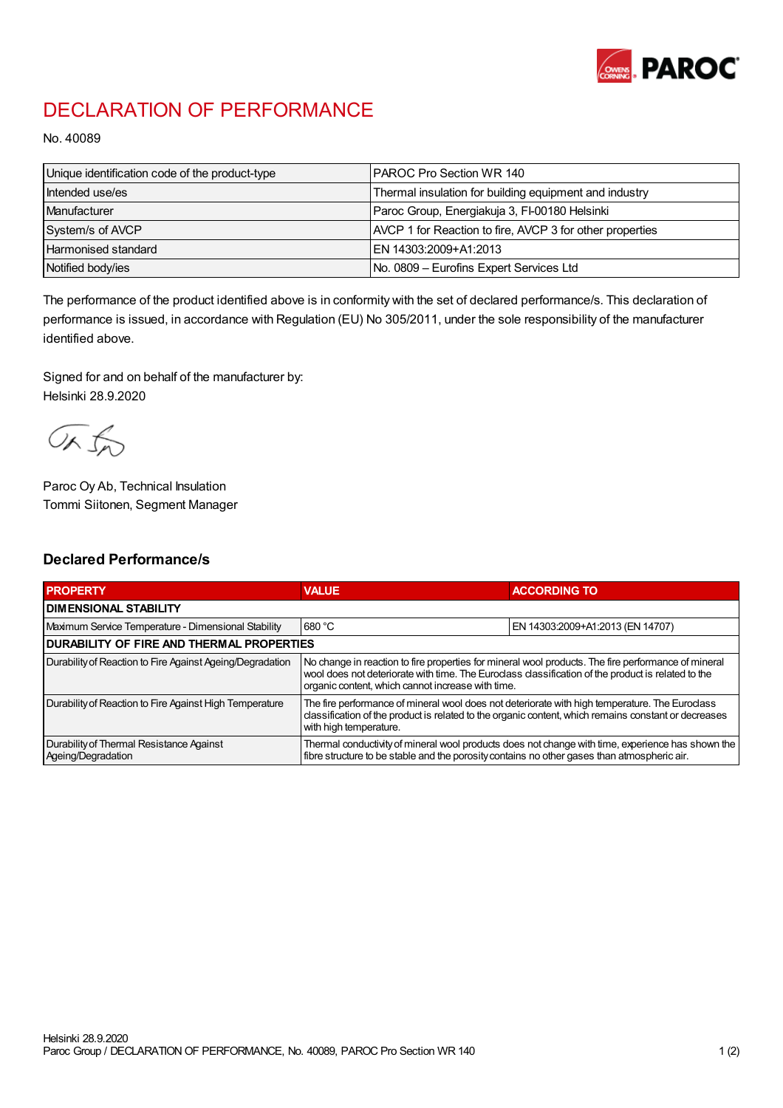

## DECLARATION OF PERFORMANCE

No. 40089

| Unique identification code of the product-type | I PAROC Pro Section WR 140                               |
|------------------------------------------------|----------------------------------------------------------|
| Intended use/es                                | Thermal insulation for building equipment and industry   |
| Manufacturer                                   | Paroc Group, Energiakuja 3, FI-00180 Helsinki            |
| System/s of AVCP                               | AVCP 1 for Reaction to fire, AVCP 3 for other properties |
| <b>Harmonised standard</b>                     | EN 14303:2009+A1:2013                                    |
| Notified body/ies                              | No. 0809 – Eurofins Expert Services Ltd                  |

The performance of the product identified above is in conformity with the set of declared performance/s. This declaration of performance is issued, in accordance with Regulation (EU) No 305/2011, under the sole responsibility of the manufacturer identified above.

Signed for and on behalf of the manufacturer by: Helsinki 28.9.2020

ORJO

Paroc Oy Ab, Technical Insulation Tommi Siitonen, Segment Manager

## Declared Performance/s

| <b>PROPERTY</b>                                                | <b>VALUE</b>                                                                                                                                                                                                                                                   | <b>ACCORDING TO</b>              |  |
|----------------------------------------------------------------|----------------------------------------------------------------------------------------------------------------------------------------------------------------------------------------------------------------------------------------------------------------|----------------------------------|--|
| <b>I DIMENSIONAL STABILITY</b>                                 |                                                                                                                                                                                                                                                                |                                  |  |
| Maximum Service Temperature - Dimensional Stability            | 680 °C                                                                                                                                                                                                                                                         | EN 14303:2009+A1:2013 (EN 14707) |  |
| <b>DURABILITY OF FIRE AND THERMAL PROPERTIES</b>               |                                                                                                                                                                                                                                                                |                                  |  |
| Durability of Reaction to Fire Against Ageing/Degradation      | No change in reaction to fire properties for mineral wool products. The fire performance of mineral<br>wool does not deteriorate with time. The Euroclass classification of the product is related to the<br>organic content, which cannot increase with time. |                                  |  |
| Durability of Reaction to Fire Against High Temperature        | The fire performance of mineral wool does not deteriorate with high temperature. The Euroclass<br>classification of the product is related to the organic content, which remains constant or decreases<br>with high temperature.                               |                                  |  |
| Durability of Thermal Resistance Against<br>Ageing/Degradation | Thermal conductivity of mineral wool products does not change with time, experience has shown the<br>fibre structure to be stable and the porosity contains no other gases than atmospheric air.                                                               |                                  |  |